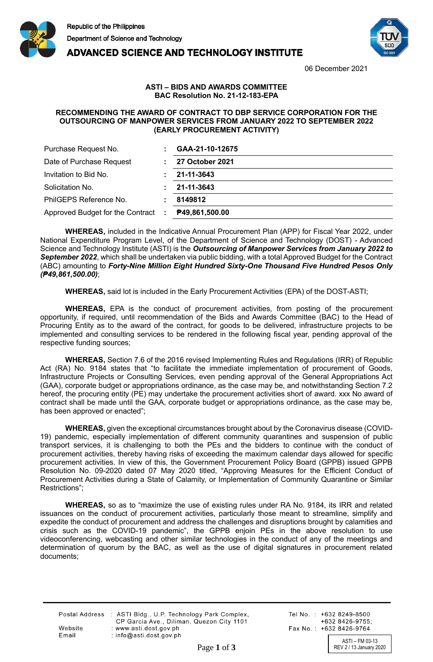

**ADVANCED SCIENCE AND TECHNOLOGY INSTITUTE** 



06 December 2021

## **ASTI – BIDS AND AWARDS COMMITTEE BAC Resolution No. 21-12-183-EPA**

## **RECOMMENDING THE AWARD OF CONTRACT TO DBP SERVICE CORPORATION FOR THE OUTSOURCING OF MANPOWER SERVICES FROM JANUARY 2022 TO SEPTEMBER 2022 (EARLY PROCUREMENT ACTIVITY)**

| Purchase Request No.               | GAA-21-10-12675        |
|------------------------------------|------------------------|
| Date of Purchase Request           | <b>27 October 2021</b> |
| Invitation to Bid No.              | 21-11-3643             |
| Solicitation No.                   | 21-11-3643             |
| PhilGEPS Reference No.             | 8149812                |
| Approved Budget for the Contract : | P49,861,500.00         |

**WHEREAS,** included in the Indicative Annual Procurement Plan (APP) for Fiscal Year 2022, under National Expenditure Program Level, of the Department of Science and Technology (DOST) - Advanced Science and Technology Institute (ASTI) is the *Outsourcing of Manpower Services from January 2022 to September 2022*, which shall be undertaken via public bidding, with a total Approved Budget for the Contract (ABC) amounting to *Forty-Nine Million Eight Hundred Sixty-One Thousand Five Hundred Pesos Only (₱49,861,500.00)*;

**WHEREAS,** said lot is included in the Early Procurement Activities (EPA) of the DOST-ASTI;

**WHEREAS,** EPA is the conduct of procurement activities, from posting of the procurement opportunity, if required, until recommendation of the Bids and Awards Committee (BAC) to the Head of Procuring Entity as to the award of the contract, for goods to be delivered, infrastructure projects to be implemented and consulting services to be rendered in the following fiscal year, pending approval of the respective funding sources;

**WHEREAS,** Section 7.6 of the 2016 revised Implementing Rules and Regulations (IRR) of Republic Act (RA) No. 9184 states that "to facilitate the immediate implementation of procurement of Goods, Infrastructure Projects or Consulting Services, even pending approval of the General Appropriations Act (GAA), corporate budget or appropriations ordinance, as the case may be, and notwithstanding Section 7.2 hereof, the procuring entity (PE) may undertake the procurement activities short of award. xxx No award of contract shall be made until the GAA, corporate budget or appropriations ordinance, as the case may be, has been approved or enacted";

**WHEREAS,** given the exceptional circumstances brought about by the Coronavirus disease (COVID-19) pandemic, especially implementation of different community quarantines and suspension of public transport services, it is challenging to both the PEs and the bidders to continue with the conduct of procurement activities, thereby having risks of exceeding the maximum calendar days allowed for specific procurement activities. In view of this, the Government Procurement Policy Board (GPPB) issued GPPB Resolution No. 09-2020 dated 07 May 2020 titled, "Approving Measures for the Efficient Conduct of Procurement Activities during a State of Calamity, or Implementation of Community Quarantine or Similar Restrictions";

**WHEREAS,** so as to "maximize the use of existing rules under RA No. 9184, its IRR and related issuances on the conduct of procurement activities, particularly those meant to streamline, simplify and expedite the conduct of procurement and address the challenges and disruptions brought by calamities and crisis such as the COVID-19 pandemic", the GPPB enjoin PEs in the above resolution to use videoconferencing, webcasting and other similar technologies in the conduct of any of the meetings and determination of quorum by the BAC, as well as the use of digital signatures in procurement related documents;

|         | Postal Address : ASTI Bldg., U.P. Technology Park Complex,<br>CP Garcia Ave., Diliman, Quezon City 1101 |
|---------|---------------------------------------------------------------------------------------------------------|
| Website | : www.asti.dost.gov.ph                                                                                  |
| Email   | $:$ info@asti.dost.gov.ph                                                                               |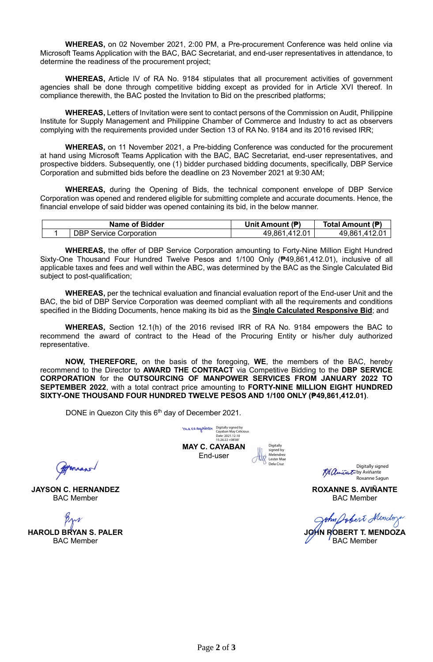**WHEREAS,** on 02 November 2021, 2:00 PM, a Pre-procurement Conference was held online via Microsoft Teams Application with the BAC, BAC Secretariat, and end-user representatives in attendance, to determine the readiness of the procurement project;

**WHEREAS,** Article IV of RA No. 9184 stipulates that all procurement activities of government agencies shall be done through competitive bidding except as provided for in Article XVI thereof. In compliance therewith, the BAC posted the Invitation to Bid on the prescribed platforms;

**WHEREAS,** Letters of Invitation were sent to contact persons of the Commission on Audit, Philippine Institute for Supply Management and Philippine Chamber of Commerce and Industry to act as observers complying with the requirements provided under Section 13 of RA No. 9184 and its 2016 revised IRR;

**WHEREAS,** on 11 November 2021, a Pre-bidding Conference was conducted for the procurement at hand using Microsoft Teams Application with the BAC, BAC Secretariat, end-user representatives, and prospective bidders. Subsequently, one (1) bidder purchased bidding documents, specifically, DBP Service Corporation and submitted bids before the deadline on 23 November 2021 at 9:30 AM;

**WHEREAS,** during the Opening of Bids, the technical component envelope of DBP Service Corporation was opened and rendered eligible for submitting complete and accurate documents. Hence, the financial envelope of said bidder was opened containing its bid, in the below manner.

| <b>Name of Bidder</b>          | Unit Amount (₱) | Total Amount (P) |
|--------------------------------|-----------------|------------------|
| <b>DBP Service Corporation</b> | 49,861,412.01   | 49.861.412.01    |

**WHEREAS,** the offer of DBP Service Corporation amounting to Forty-Nine Million Eight Hundred Sixty-One Thousand Four Hundred Twelve Pesos and 1/100 Only (₱49,861,412.01), inclusive of all applicable taxes and fees and well within the ABC, was determined by the BAC as the Single Calculated Bid subject to post-qualification;

**WHEREAS,** per the technical evaluation and financial evaluation report of the End-user Unit and the BAC, the bid of DBP Service Corporation was deemed compliant with all the requirements and conditions specified in the Bidding Documents, hence making its bid as the **Single Calculated Responsive Bid**; and

**WHEREAS,** Section 12.1(h) of the 2016 revised IRR of RA No. 9184 empowers the BAC to recommend the award of contract to the Head of the Procuring Entity or his/her duly authorized representative.

**NOW, THEREFORE,** on the basis of the foregoing, **WE**, the members of the BAC, hereby recommend to the Director to **AWARD THE CONTRACT** via Competitive Bidding to the **DBP SERVICE CORPORATION** for the **OUTSOURCING OF MANPOWER SERVICES FROM JANUARY 2022 TO SEPTEMBER 2022**, with a total contract price amounting to **FORTY-NINE MILLION EIGHT HUNDRED SIXTY-ONE THOUSAND FOUR HUNDRED TWELVE PESOS AND 1/100 ONLY (₱49,861,412.01)**.

DONE in Quezon City this 6<sup>th</sup> day of December 2021.

Engels

**JAYSON C. HERNANDEZ** BAC Member

**HAROLD BRYAN S. PALER** BAC Member

**MAY C. CAYABAN** End-user Digitally signed by Cayaban May Celicious Date: 2021.12.10 15:26:22 +08'00'

Digitally signed by Melendrez Lester Mae Dela Cruz

Digitally signed Ka aniña to by Aviñante Roxanne Sagun

**ROXANNE S. AVIÑANTE** BAC Member

ohn Jobert Mindoz

**JOHN ROBERT T. MENDOZA** BAC Member